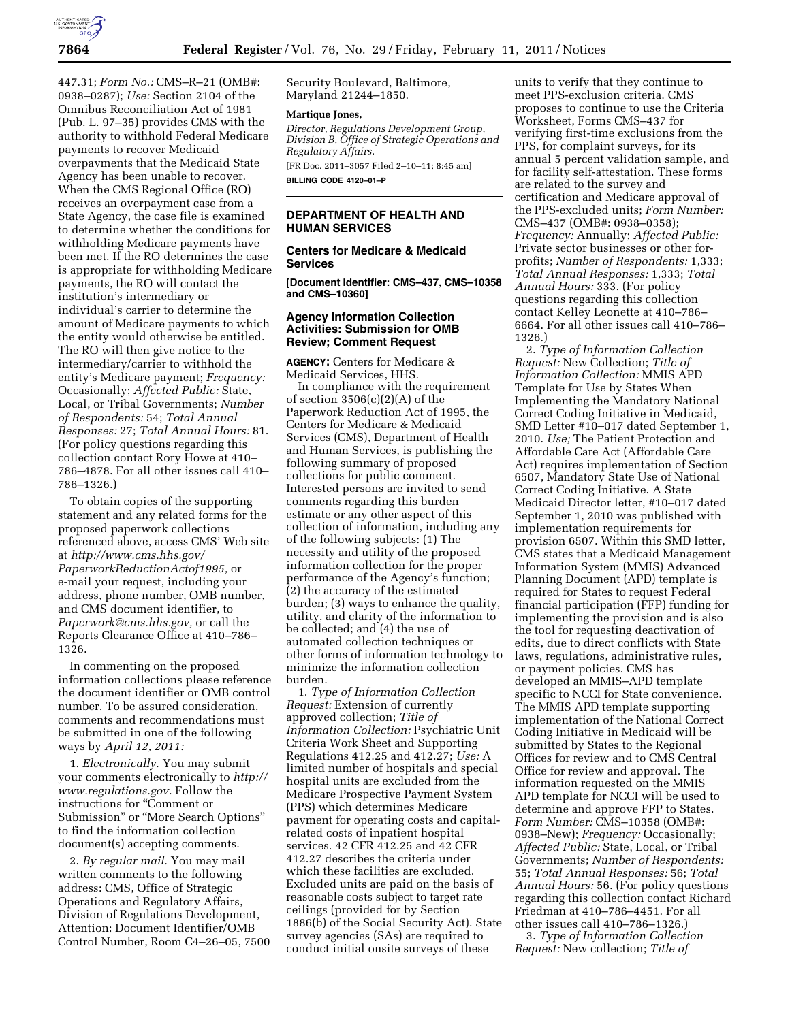

447.31; *Form No.:* CMS–R–21 (OMB#: 0938–0287); *Use:* Section 2104 of the Omnibus Reconciliation Act of 1981 (Pub. L. 97–35) provides CMS with the authority to withhold Federal Medicare payments to recover Medicaid overpayments that the Medicaid State Agency has been unable to recover. When the CMS Regional Office (RO) receives an overpayment case from a State Agency, the case file is examined to determine whether the conditions for withholding Medicare payments have been met. If the RO determines the case is appropriate for withholding Medicare payments, the RO will contact the institution's intermediary or individual's carrier to determine the amount of Medicare payments to which the entity would otherwise be entitled. The RO will then give notice to the intermediary/carrier to withhold the entity's Medicare payment; *Frequency:*  Occasionally; *Affected Public:* State, Local, or Tribal Governments; *Number of Respondents:* 54; *Total Annual Responses:* 27; *Total Annual Hours:* 81. (For policy questions regarding this collection contact Rory Howe at 410– 786–4878. For all other issues call 410– 786–1326.)

To obtain copies of the supporting statement and any related forms for the proposed paperwork collections referenced above, access CMS' Web site at *[http://www.cms.hhs.gov/](http://www.cms.hhs.gov/PaperworkReductionActof1995)  [PaperworkReductionActof1995,](http://www.cms.hhs.gov/PaperworkReductionActof1995)* or e-mail your request, including your address, phone number, OMB number, and CMS document identifier, to *[Paperwork@cms.hhs.gov,](mailto:Paperwork@cms.hhs.gov)* or call the Reports Clearance Office at 410–786– 1326.

In commenting on the proposed information collections please reference the document identifier or OMB control number. To be assured consideration, comments and recommendations must be submitted in one of the following ways by *April 12, 2011:* 

1. *Electronically.* You may submit your comments electronically to *[http://](http://www.regulations.gov) [www.regulations.gov.](http://www.regulations.gov)* Follow the instructions for ''Comment or Submission'' or ''More Search Options'' to find the information collection document(s) accepting comments.

2. *By regular mail.* You may mail written comments to the following address: CMS, Office of Strategic Operations and Regulatory Affairs, Division of Regulations Development, Attention: Document Identifier/OMB Control Number, Room C4–26–05, 7500 Security Boulevard, Baltimore, Maryland 21244–1850.

### **Martique Jones,**

*Director, Regulations Development Group, Division B, Office of Strategic Operations and Regulatory Affairs.* 

[FR Doc. 2011–3057 Filed 2–10–11; 8:45 am] **BILLING CODE 4120–01–P** 

# **DEPARTMENT OF HEALTH AND HUMAN SERVICES**

### **Centers for Medicare & Medicaid Services**

**[Document Identifier: CMS–437, CMS–10358 and CMS–10360]** 

# **Agency Information Collection Activities: Submission for OMB Review; Comment Request**

**AGENCY:** Centers for Medicare & Medicaid Services, HHS.

In compliance with the requirement of section  $3506(c)(2)(A)$  of the Paperwork Reduction Act of 1995, the Centers for Medicare & Medicaid Services (CMS), Department of Health and Human Services, is publishing the following summary of proposed collections for public comment. Interested persons are invited to send comments regarding this burden estimate or any other aspect of this collection of information, including any of the following subjects: (1) The necessity and utility of the proposed information collection for the proper performance of the Agency's function; (2) the accuracy of the estimated burden; (3) ways to enhance the quality, utility, and clarity of the information to be collected; and (4) the use of automated collection techniques or other forms of information technology to minimize the information collection burden.

1. *Type of Information Collection Request:* Extension of currently approved collection; *Title of Information Collection:* Psychiatric Unit Criteria Work Sheet and Supporting Regulations 412.25 and 412.27; *Use:* A limited number of hospitals and special hospital units are excluded from the Medicare Prospective Payment System (PPS) which determines Medicare payment for operating costs and capitalrelated costs of inpatient hospital services. 42 CFR 412.25 and 42 CFR 412.27 describes the criteria under which these facilities are excluded. Excluded units are paid on the basis of reasonable costs subject to target rate ceilings (provided for by Section 1886(b) of the Social Security Act). State survey agencies (SAs) are required to conduct initial onsite surveys of these

units to verify that they continue to meet PPS-exclusion criteria. CMS proposes to continue to use the Criteria Worksheet, Forms CMS–437 for verifying first-time exclusions from the PPS, for complaint surveys, for its annual 5 percent validation sample, and for facility self-attestation. These forms are related to the survey and certification and Medicare approval of the PPS-excluded units; *Form Number:*  CMS–437 (OMB#: 0938–0358); *Frequency:* Annually; *Affected Public:*  Private sector businesses or other forprofits; *Number of Respondents:* 1,333; *Total Annual Responses:* 1,333; *Total Annual Hours:* 333. (For policy questions regarding this collection contact Kelley Leonette at 410–786– 6664. For all other issues call 410–786– 1326.)

2. *Type of Information Collection Request:* New Collection; *Title of Information Collection:* MMIS APD Template for Use by States When Implementing the Mandatory National Correct Coding Initiative in Medicaid, SMD Letter #10–017 dated September 1, 2010. *Use;* The Patient Protection and Affordable Care Act (Affordable Care Act) requires implementation of Section 6507, Mandatory State Use of National Correct Coding Initiative. A State Medicaid Director letter, #10–017 dated September 1, 2010 was published with implementation requirements for provision 6507. Within this SMD letter, CMS states that a Medicaid Management Information System (MMIS) Advanced Planning Document (APD) template is required for States to request Federal financial participation (FFP) funding for implementing the provision and is also the tool for requesting deactivation of edits, due to direct conflicts with State laws, regulations, administrative rules, or payment policies. CMS has developed an MMIS–APD template specific to NCCI for State convenience. The MMIS APD template supporting implementation of the National Correct Coding Initiative in Medicaid will be submitted by States to the Regional Offices for review and to CMS Central Office for review and approval. The information requested on the MMIS APD template for NCCI will be used to determine and approve FFP to States. *Form Number:* CMS–10358 (OMB#: 0938–New); *Frequency:* Occasionally; *Affected Public:* State, Local, or Tribal Governments; *Number of Respondents:*  55; *Total Annual Responses:* 56; *Total Annual Hours:* 56. (For policy questions regarding this collection contact Richard Friedman at 410–786–4451. For all other issues call 410–786–1326.)

3. *Type of Information Collection Request:* New collection; *Title of*